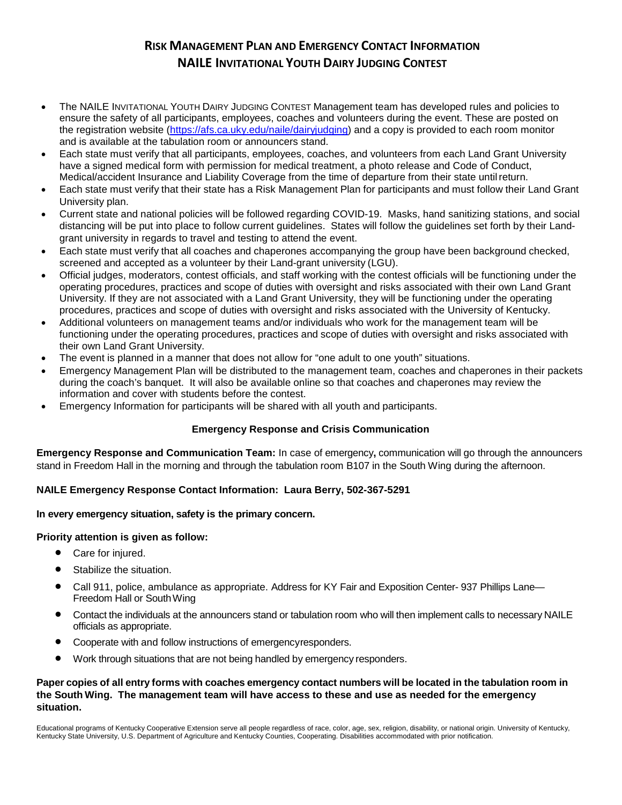# **RISK MANAGEMENT PLAN AND EMERGENCY CONTACT INFORMATION NAILE INVITATIONAL YOUTH DAIRY JUDGING CONTEST**

- The NAILE INVITATIONAL YOUTH DAIRY JUDGING CONTEST Management team has developed rules and policies to ensure the safety of all participants, employees, coaches and volunteers during the event. These are posted on the registration website [\(https://afs.ca.uky.edu/naile/dairyjudging\)](https://afs.ca.uky.edu/naile/dairyjudging) and a copy is provided to each room monitor and is available at the tabulation room or announcers stand.
- Each state must verify that all participants, employees, coaches, and volunteers from each Land Grant University have a signed medical form with permission for medical treatment, a photo release and Code of Conduct, Medical/accident Insurance and Liability Coverage from the time of departure from their state untilreturn.
- Each state must verify that their state has a Risk Management Plan for participants and must follow their Land Grant University plan.
- Current state and national policies will be followed regarding COVID-19. Masks, hand sanitizing stations, and social distancing will be put into place to follow current guidelines. States will follow the guidelines set forth by their Landgrant university in regards to travel and testing to attend the event.
- Each state must verify that all coaches and chaperones accompanying the group have been background checked, screened and accepted as a volunteer by their Land-grant university (LGU).
- Official judges, moderators, contest officials, and staff working with the contest officials will be functioning under the operating procedures, practices and scope of duties with oversight and risks associated with their own Land Grant University. If they are not associated with a Land Grant University, they will be functioning under the operating procedures, practices and scope of duties with oversight and risks associated with the University of Kentucky.
- Additional volunteers on management teams and/or individuals who work for the management team will be functioning under the operating procedures, practices and scope of duties with oversight and risks associated with their own Land Grant University.
- The event is planned in a manner that does not allow for "one adult to one youth" situations.
- Emergency Management Plan will be distributed to the management team, coaches and chaperones in their packets during the coach's banquet. It will also be available online so that coaches and chaperones may review the information and cover with students before the contest.
- Emergency Information for participants will be shared with all youth and participants.

# **Emergency Response and Crisis Communication**

**Emergency Response and Communication Team:** In case of emergency**,** communication will go through the announcers stand in Freedom Hall in the morning and through the tabulation room B107 in the South Wing during the afternoon.

# **NAILE Emergency Response Contact Information: Laura Berry, 502-367-5291**

## **In every emergency situation, safety is the primary concern.**

## **Priority attention is given as follow:**

- Care for injured.
- Stabilize the situation.
- Call 911, police, ambulance as appropriate. Address for KY Fair and Exposition Center- 937 Phillips Lane— Freedom Hall or SouthWing
- Contact the individuals at the announcers stand or tabulation room who will then implement calls to necessary NAILE officials as appropriate.
- Cooperate with and follow instructions of emergencyresponders.
- Work through situations that are not being handled by emergency responders.

## Paper copies of all entry forms with coaches emergency contact numbers will be located in the tabulation room in **the South Wing. The management team will have access to these and use as needed for the emergency situation.**